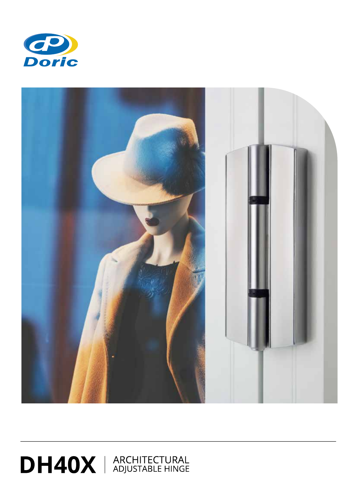



## DH40X | ARCHITECTURAL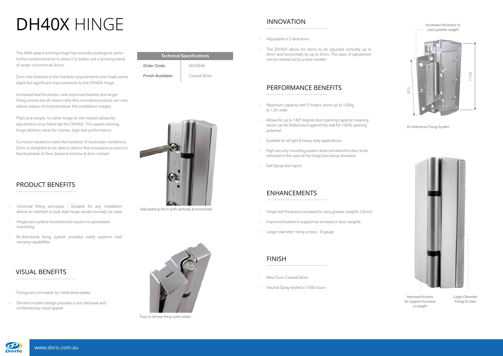The AWA award winning hinge has recently undergone some further enhancements to allow it to better suit a growing trend of larger commercial doors.

Doric has listened to the markets requirements and made some slight but significant improvements to the DH40X hinge.

Increased leaf thickness, new improved bushes and larger fixing screws are all reason why this innovative product can now deliver peace of mind whatever the installation maybe.

Plain and simple, no other hinge on the market allows for adjustment once fitted like the DH40X. This award winning hinge delivers value for money, style and performance.



**Bi-directional Fixing System** 



Corrosion tested to meet the harshest of Australian conditions, Doric is delighted to be able to deliver this innovative product to the Australian & New Zealand window & door market.

#### PRODUCT BENEFITS

- Universal fitting principals Suitable for any installation where an interfold or butt style hinge would normally be used
- Hinges are surface mounted and require no specialised machining
- Bi-directional fixing system provides vastly superior load carrying capabilities

#### VISUAL BENEFITS

- Fixings are concealed by metal dress plates
- Slimline modern design provides a non obtrusive and contemporary visual appeal



Easy to remove fixing cover plates

# DH40X HINGE

| <b>Technical Specifications</b> |                |
|---------------------------------|----------------|
| Order Code:                     | 9043848        |
| <b>Finish Available:</b>        | Coastal Silver |



Adjustable by 6mm both vertically & horizontally

### INNOVATION

#### PERFORMANCE BENEFITS

#### ENHANCEMENTS

#### FINISH

- Maximum capacity with 3 hinges, doors up to 100kg & 1.2m wide
- Allows for up to 180° degree door opening capacity meaning doors can be folded back against the wall for 100% opening potential
- Suitable for all light & heavy duty applications
- High security mounting system does not allow the door to be removed in the case of the hinge pins being removed.
- Salt Spray test report
- Adjustable in 2 directions
- The DH40X allows for doors to be adjusted vertically up to 6mm and horizontally by up to 6mm. The ease of adjustment can be carried out by a lone installer

- Hinge leaf thickness increased to carry greater weights (3mm)
- Improved bushes to support an increase in door weights
- Larger diameter fixing screws 8 gauge

- New Doric Coastal Silver
- Neutral Spray tested to 1000 hours



*Large Diameter Fixing Screws*

*Improved bushes for support increase in weight*